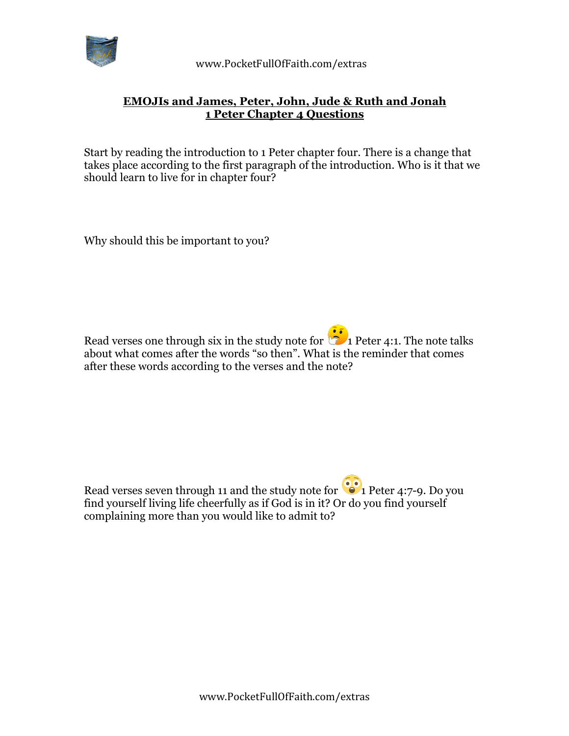

 www.PocketFullOfFaith.com/extras

## **EMOJIs and James, Peter, John, Jude & Ruth and Jonah 1 Peter Chapter 4 Questions**

Start by reading the introduction to 1 Peter chapter four. There is a change that takes place according to the first paragraph of the introduction. Who is it that we should learn to live for in chapter four?

Why should this be important to you?

Read verses one through six in the study note for  $\frac{1}{\sqrt{2}}$  Peter 4:1. The note talks about what comes after the words "so then". What is the reminder that comes after these words according to the verses and the note?

Read verses seven through 11 and the study note for  $\bullet$  1 Peter 4:7-9. Do you find yourself living life cheerfully as if God is in it? Or do you find yourself complaining more than you would like to admit to?